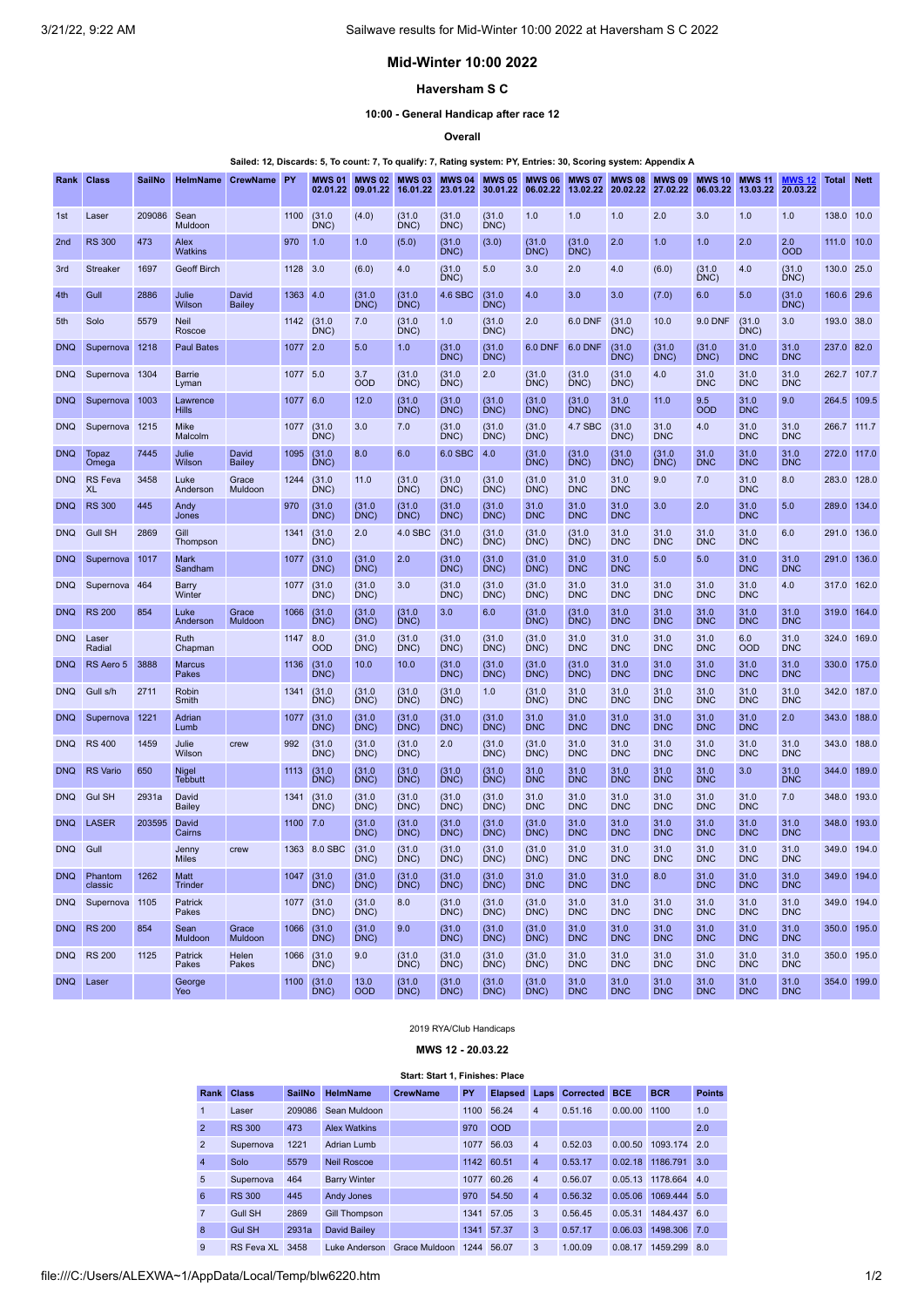# **Mid-Winter 10:00 2022**

## **Haversham S C**

**10:00 - General Handicap after race 12**

**Overall**

Sailed: 12, Discards: 5, To count: 7, To qualify: 7, Rating system: PY, Entries: 30, Scoring system: Appendix A

| Rank            | <b>Class</b>                | <b>SailNo</b> | HelmName                | CrewName         | PY       | <b>MWS 01</b><br>02.01.22 | <b>MWS 02</b><br>09.01.22 | <b>MWS 03</b><br>16.01.22 | <b>MWS 04</b><br>23.01.22 | <b>MWS 05</b><br>30.01.22 | <b>MWS 06</b><br>06.02.22 | <b>MWS 07</b><br>13.02.22 | <b>MWS 08</b><br>20.02.22 | <b>MWS 09</b><br>27.02.22 | <b>MWS 10</b><br>06.03.22 | <b>MWS 11</b><br>13.03.22 | <b>MWS 12</b><br>20.03.22 | <b>Total</b> | <b>Nett</b> |
|-----------------|-----------------------------|---------------|-------------------------|------------------|----------|---------------------------|---------------------------|---------------------------|---------------------------|---------------------------|---------------------------|---------------------------|---------------------------|---------------------------|---------------------------|---------------------------|---------------------------|--------------|-------------|
| 1st             | Laser                       | 209086        | Sean<br>Muldoon         |                  | 1100     | (31.0)<br>DNC)            | (4.0)                     | (31.0)<br>DNC)            | (31.0)<br>DNC)            | (31.0)<br>DNC)            | 1.0                       | 1.0                       | 1.0                       | 2.0                       | 3.0                       | 1.0                       | 1.0                       | 138.0        | 10.0        |
| 2 <sub>nd</sub> | <b>RS 300</b>               | 473           | Alex<br>Watkins         |                  | 970      | 1.0                       | 1.0                       | (5.0)                     | (31.0)<br>DNC             | (3.0)                     | (31.0)<br>DNC)            | (31.0)<br>DNC             | 2.0                       | 1.0                       | 1.0                       | 2.0                       | 2.0<br><b>OOD</b>         | 111.0        | 10.0        |
| 3rd             | Streaker                    | 1697          | Geoff Birch             |                  | 1128     | 3.0                       | (6.0)                     | 4.0                       | (31.0)<br>DNC)            | 5.0                       | 3.0                       | 2.0                       | 4.0                       | (6.0)                     | (31.0)<br>DNC)            | 4.0                       | (31.0)<br>DNC)            | 130.0        | 25.0        |
| 4th             | Gull                        | 2886          | Julie<br>Wilson         | David<br>Bailey  | 1363     | 4.0                       | (31.0)<br>DNC)            | (31.0)<br>DNC)            | 4.6 SBC                   | (31.0)<br>DNC)            | 4.0                       | 3.0                       | 3.0                       | (7.0)                     | 6.0                       | 5.0                       | (31.0)<br>DNC)            | 160.6        | 29.6        |
| 5th             | Solo                        | 5579          | <b>Neil</b><br>Roscoe   |                  | 1142     | (31.0)<br>DNC)            | 7.0                       | (31.0)<br>DNC)            | 1.0                       | (31.0)<br>DNC)            | 2.0                       | 6.0 DNF                   | (31.0)<br>DNC             | 10.0                      | 9.0 DNF                   | (31.0)<br>DNC             | 3.0                       | 193.0 38.0   |             |
| <b>DNQ</b>      | Supernova                   | 1218          | <b>Paul Bates</b>       |                  | 1077     | 2.0                       | 5.0                       | 1.0                       | (31.0)<br>DNC)            | (31.0)<br>DNC)            | <b>6.0 DNF</b>            | 6.0 DNF                   | (31.0)<br>DNC)            | (31.0)<br>DNC)            | (31.0)<br>DNC             | 31.0<br><b>DNC</b>        | 31.0<br><b>DNC</b>        | 237.0        | 82.0        |
| <b>DNQ</b>      | Supernova                   | 1304          | Barrie<br>Lyman         |                  | 1077 5.0 |                           | 3.7<br><b>OOD</b>         | (31.0)<br>DNC)            | (31.0)<br>DNC)            | 2.0                       | (31.0)<br>DNC)            | (31.0)<br>DNC)            | (31.0)<br>DNC)            | 4.0                       | 31.0<br><b>DNC</b>        | 31.0<br><b>DNC</b>        | 31.0<br><b>DNC</b>        | 262.7        | 107.7       |
| <b>DNQ</b>      | Supernova                   | 1003          | Lawrence<br>Hills       |                  | 1077     | 6.0                       | 12.0                      | (31.0)<br>DNC)            | (31.0)<br>DNC)            | (31.0)<br>DNC)            | (31.0)<br>DNC)            | (31.0)<br>DNC             | 31.0<br><b>DNC</b>        | 11.0                      | 9.5<br>OOD                | 31.0<br><b>DNC</b>        | 9.0                       | 264.5        | 109.5       |
| <b>DNQ</b>      | Supernova                   | 1215          | Mike<br>Malcolm         |                  | 1077     | (31.0)<br>DNC)            | 3.0                       | 7.0                       | (31.0)<br>DNC)            | (31.0)<br>DNC)            | (31.0)<br>DNC)            | 4.7 SBC                   | (31.0)<br>DNC)            | 31.0<br><b>DNC</b>        | 4.0                       | 31.0<br><b>DNC</b>        | 31.0<br><b>DNC</b>        | 266.7        | 111.7       |
| <b>DNQ</b>      | Topaz<br>Omega              | 7445          | Julie<br>Wilson         | David<br>Bailey  | 1095     | (31.0)<br>DNC)            | 8.0                       | 6.0                       | 6.0 SBC                   | 4.0                       | (31.0)<br>DNC)            | (31.0)<br>DNC             | (31.0)<br>DNC)            | (31.0)<br>DNC)            | 31.0<br><b>DNC</b>        | 31.0<br><b>DNC</b>        | 31.0<br><b>DNC</b>        | 272.0        | 117.0       |
| <b>DNQ</b>      | <b>RS</b> Feva<br><b>XL</b> | 3458          | Luke<br>Anderson        | Grace<br>Muldoon | 1244     | (31.0)<br>DNC)            | 11.0                      | (31.0)<br>DNC             | (31.0)<br>DNC             | (31.0)<br>DNC)            | (31.0)<br>DNC             | 31.0<br><b>DNC</b>        | 31.0<br><b>DNC</b>        | 9.0                       | 7.0                       | 31.0<br><b>DNC</b>        | 8.0                       | 283.0        | 128.0       |
| <b>DNQ</b>      | <b>RS 300</b>               | 445           | Andy<br>Jones           |                  | 970      | (31.0)<br>DNC)            | (31.0)<br>DNC)            | (31.0)<br>DNC)            | (31.0)<br>DNC)            | (31.0<br>DNC)             | 31.0<br><b>DNC</b>        | 31.0<br><b>DNC</b>        | 31.0<br><b>DNC</b>        | 3.0                       | 2.0                       | 31.0<br><b>DNC</b>        | 5.0                       | 289.0        | 134.0       |
| <b>DNQ</b>      | <b>Gull SH</b>              | 2869          | Gill<br>Thompson        |                  | 1341     | (31.0)<br>DNC)            | 2.0                       | 4.0 SBC                   | (31.0)<br>DNC             | (31.0)<br>DNC)            | (31.0)<br>DNC)            | (31.0)<br>DNC             | 31.0<br><b>DNC</b>        | 31.0<br><b>DNC</b>        | 31.0<br><b>DNC</b>        | 31.0<br><b>DNC</b>        | 6.0                       | 291.0        | 136.0       |
| <b>DNQ</b>      | Supernova                   | 1017          | Mark<br>Sandham         |                  | 1077     | (31.0)<br>DNC)            | (31.0)<br>DNC)            | 2.0                       | (31.0)<br>DNC)            | (31.0)<br>DNC)            | (31.0)<br>DNC)            | 31.0<br><b>DNC</b>        | 31.0<br><b>DNC</b>        | 5.0                       | 5.0                       | 31.0<br><b>DNC</b>        | 31.0<br><b>DNC</b>        | 291.0        | 136.0       |
| <b>DNQ</b>      | Supernova 464               |               | Barry<br>Winter         |                  | 1077     | (31.0)<br>DNC)            | (31.0)<br>DNC)            | 3.0                       | (31.0)<br>DNC)            | (31.0)<br>DNC)            | (31.0)<br>DNC)            | 31.0<br><b>DNC</b>        | 31.0<br><b>DNC</b>        | 31.0<br><b>DNC</b>        | 31.0<br><b>DNC</b>        | 31.0<br><b>DNC</b>        | 4.0                       | 317.0        | 162.0       |
| <b>DNQ</b>      | <b>RS 200</b>               | 854           | Luke<br>Anderson        | Grace<br>Muldoon | 1066     | (31.0)<br>DNC)            | (31.0)<br>DNC)            | (31.0)<br>DNC)            | 3.0                       | 6.0                       | (31.0)<br>DNC)            | (31.0)<br>DNC             | 31.0<br><b>DNC</b>        | 31.0<br><b>DNC</b>        | 31.0<br><b>DNC</b>        | 31.0<br><b>DNC</b>        | 31.0<br><b>DNC</b>        | 319.0        | 164.0       |
| <b>DNQ</b>      | Laser<br>Radial             |               | Ruth<br>Chapman         |                  | 1147     | 8.0<br><b>OOD</b>         | (31.0)<br>DNC)            | (31.0)<br>DNC)            | (31.0)<br>DNC)            | (31.0)<br>DNC)            | (31.0)<br>DNC)            | 31.0<br><b>DNC</b>        | 31.0<br><b>DNC</b>        | 31.0<br><b>DNC</b>        | 31.0<br><b>DNC</b>        | 6.0<br><b>OOD</b>         | 31.0<br><b>DNC</b>        | 324.0        | 169.0       |
| <b>DNQ</b>      | RS Aero 5                   | 3888          | <b>Marcus</b><br>Pakes  |                  | 1136     | (31.0)<br>DNC)            | 10.0                      | 10.0                      | (31.0)<br>DNC)            | (31.0<br>DNC)             | (31.0)<br>DNC)            | (31.0<br>DNC)             | 31.0<br><b>DNC</b>        | 31.0<br><b>DNC</b>        | 31.0<br><b>DNC</b>        | 31.0<br><b>DNC</b>        | 31.0<br><b>DNC</b>        | 330.0        | 175.0       |
| <b>DNQ</b>      | Gull s/h                    | 2711          | Robin<br>Smith          |                  | 1341     | (31.0)<br>DNC)            | (31.0)<br>DNC)            | (31.0)<br>DNC)            | (31.0)<br>DNC             | 1.0                       | (31.0)<br>DNC)            | 31.0<br><b>DNC</b>        | 31.0<br><b>DNC</b>        | 31.0<br><b>DNC</b>        | 31.0<br><b>DNC</b>        | 31.0<br><b>DNC</b>        | 31.0<br><b>DNC</b>        | 342.0        | 187.0       |
| <b>DNQ</b>      | Supernova                   | 1221          | Adrian<br>Lumb          |                  | 1077     | (31.0)<br>DNC)            | (31.0)<br>DNC)            | (31.0)<br>DNC)            | (31.0)<br>DNC)            | (31.0)<br>DNC)            | 31.0<br><b>DNC</b>        | 31.0<br><b>DNC</b>        | 31.0<br><b>DNC</b>        | 31.0<br><b>DNC</b>        | 31.0<br><b>DNC</b>        | 31.0<br><b>DNC</b>        | 2.0                       | 343.0        | 188.0       |
| <b>DNQ</b>      | <b>RS 400</b>               | 1459          | Julie<br>Wilson         | crew             | 992      | (31.0)<br>DNC)            | (31.0)<br>DNC)            | (31.0)<br>DNC)            | 2.0                       | (31.0)<br>DNC)            | (31.0)<br>DNC)            | 31.0<br><b>DNC</b>        | 31.0<br><b>DNC</b>        | 31.0<br><b>DNC</b>        | 31.0<br><b>DNC</b>        | 31.0<br><b>DNC</b>        | 31.0<br><b>DNC</b>        | 343.0        | 188.0       |
| <b>DNQ</b>      | <b>RS</b> Vario             | 650           | Nigel<br><b>Tebbutt</b> |                  | 1113     | (31.0)<br>DNC)            | (31.0)<br>DNC)            | (31.0)<br>DNC)            | (31.0)<br>DNC)            | (31.0)<br>DNC)            | 31.0<br><b>DNC</b>        | 31.0<br><b>DNC</b>        | 31.0<br><b>DNC</b>        | 31.0<br><b>DNC</b>        | 31.0<br><b>DNC</b>        | 3.0                       | 31.0<br><b>DNC</b>        | 344.0        | 189.0       |
| <b>DNQ</b>      | <b>Gul SH</b>               | 2931a         | David<br><b>Bailey</b>  |                  | 1341     | (31.0)<br>DNC)            | (31.0)<br>DNC)            | (31.0)<br>DNC)            | (31.0)<br>DNC)            | (31.0)<br>DNC)            | 31.0<br><b>DNC</b>        | 31.0<br><b>DNC</b>        | 31.0<br><b>DNC</b>        | 31.0<br><b>DNC</b>        | 31.0<br><b>DNC</b>        | 31.0<br><b>DNC</b>        | 7.0                       | 348.0        | 193.0       |
| <b>DNQ</b>      | <b>LASER</b>                | 203595        | David<br>Cairns         |                  | 1100     | 7.0                       | (31.0)<br>DNC)            | (31.0)<br>DNC:            | (31.0)<br>DNC)            | (31.0<br>DNC)             | (31.0)<br>DNC)            | 31.0<br><b>DNC</b>        | 31.0<br><b>DNC</b>        | 31.0<br><b>DNC</b>        | 31.0<br><b>DNC</b>        | 31.0<br><b>DNC</b>        | 31.0<br><b>DNC</b>        | 348.0        | 193.0       |
| <b>DNQ</b>      | Gull                        |               | Jenny<br><b>Miles</b>   | crew             |          | 1363 8.0 SBC              | (31.0)<br>DNC)            | (31.0)<br>DNC)            | (31.0)<br>DNC             | (31.0)<br>DNC)            | (31.0)<br>DNC)            | 31.0<br><b>DNC</b>        | 31.0<br><b>DNC</b>        | 31.0<br><b>DNC</b>        | 31.0<br><b>DNC</b>        | 31.0<br><b>DNC</b>        | 31.0<br><b>DNC</b>        | 349.0 194.0  |             |
| <b>DNQ</b>      | Phantom<br>classic          | 1262          | Matt<br><b>Trinder</b>  |                  | 1047     | (31.0)<br>DNC)            | (31.0)<br>DNC)            | (31.0)<br>DNC)            | (31.0)<br>DNC)            | (31.0)<br>DNC)            | 31.0<br><b>DNC</b>        | 31.0<br><b>DNC</b>        | 31.0<br><b>DNC</b>        | 8.0                       | 31.0<br><b>DNC</b>        | 31.0<br><b>DNC</b>        | 31.0<br><b>DNC</b>        | 349.0 194.0  |             |
| <b>DNQ</b>      | Supernova 1105              |               | Patrick<br>Pakes        |                  | 1077     | (31.0)<br>DNC)            | (31.0)<br>DNC)            | 8.0                       | (31.0)<br>DNC)            | (31.0)<br>DNC)            | (31.0)<br>DNC)            | 31.0<br><b>DNC</b>        | 31.0<br><b>DNC</b>        | 31.0<br><b>DNC</b>        | 31.0<br><b>DNC</b>        | 31.0<br><b>DNC</b>        | 31.0<br><b>DNC</b>        | 349.0 194.0  |             |
| <b>DNQ</b>      | <b>RS 200</b>               | 854           | Sean<br>Muldoon         | Grace<br>Muldoon | 1066     | (31.0)<br>DNC)            | (31.0)<br>DNC)            | 9.0                       | (31.0)<br>DNC)            | (31.0)<br>DNC)            | (31.0)<br>DNC)            | 31.0<br><b>DNC</b>        | 31.0<br><b>DNC</b>        | 31.0<br><b>DNC</b>        | 31.0<br><b>DNC</b>        | 31.0<br><b>DNC</b>        | 31.0<br><b>DNC</b>        | 350.0 195.0  |             |
|                 | <b>DNQ RS 200</b>           | 1125          | Patrick<br>Pakes        | Helen<br>Pakes   | 1066     | (31.0)<br>DNC)            | 9.0                       | (31.0)<br>DNC)            | (31.0)<br>DNC)            | (31.0)<br>DNC)            | (31.0)<br>DNC)            | 31.0<br><b>DNC</b>        | 31.0<br><b>DNC</b>        | 31.0<br><b>DNC</b>        | 31.0<br><b>DNC</b>        | 31.0<br><b>DNC</b>        | 31.0<br><b>DNC</b>        | 350.0 195.0  |             |
| <b>DNQ</b>      | Laser                       |               | George<br>Yeo           |                  | 1100     | (31.0)<br>DNC)            | 13.0<br><b>OOD</b>        | (31.0)<br>DNC)            | (31.0)<br>DNC)            | (31.0)<br>DNC)            | (31.0)<br>DNC)            | 31.0<br><b>DNC</b>        | 31.0<br><b>DNC</b>        | 31.0<br><b>DNC</b>        | 31.0<br><b>DNC</b>        | 31.0<br><b>DNC</b>        | 31.0<br><b>DNC</b>        | 354.0 199.0  |             |

### 2019 RYA/Club Handicaps

**MWS 12 - 20.03.22**

#### **Start: Start 1, Finishes: Place**

<span id="page-0-0"></span>

| Rank           | <b>Class</b>   | <b>SailNo</b> | <b>HelmName</b>      | <b>CrewName</b> | PY   | <b>Elapsed</b> | Laps           | <b>Corrected</b> | <b>BCE</b> | <b>BCR</b>   | <b>Points</b> |
|----------------|----------------|---------------|----------------------|-----------------|------|----------------|----------------|------------------|------------|--------------|---------------|
| 1              | Laser          | 209086        | Sean Muldoon         |                 | 1100 | 56.24          | $\overline{4}$ | 0.51.16          | 0.00.00    | 1100         | 1.0           |
| $\overline{2}$ | <b>RS 300</b>  | 473           | <b>Alex Watkins</b>  |                 | 970  | <b>OOD</b>     |                |                  |            |              | 2.0           |
| $\overline{2}$ | Supernova      | 1221          | Adrian Lumb          |                 | 1077 | 56.03          | $\overline{4}$ | 0.52.03          | 0.00.50    | 1093.174     | 2.0           |
| $\overline{4}$ | Solo           | 5579          | Neil Roscoe          |                 | 1142 | 60.51          | $\overline{4}$ | 0.53.17          | 0.02.18    | 1186.791     | 3.0           |
| $\overline{5}$ | Supernova      | 464           | <b>Barry Winter</b>  |                 | 1077 | 60.26          | $\overline{4}$ | 0.56.07          | 0.05.13    | 1178.664     | 4.0           |
| 6              | <b>RS 300</b>  | 445           | <b>Andy Jones</b>    |                 | 970  | 54.50          | $\overline{4}$ | 0.56.32          | 0.05.06    | 1069.444 5.0 |               |
| $\overline{7}$ | <b>Gull SH</b> | 2869          | <b>Gill Thompson</b> |                 | 1341 | 57.05          | 3              | 0.56.45          | 0.05.31    | 1484.437     | 6.0           |
| 8              | <b>Gul SH</b>  | 2931a         | <b>David Bailev</b>  |                 | 1341 | 57.37          | 3              | 0.57.17          | 0.06.03    | 1498.306     | 7.0           |
| 9              | RS Feva XL     | 3458          | Luke Anderson        | Grace Muldoon   | 1244 | 56.07          | 3              | 1.00.09          | 0.08.17    | 1459.299     | 8.0           |